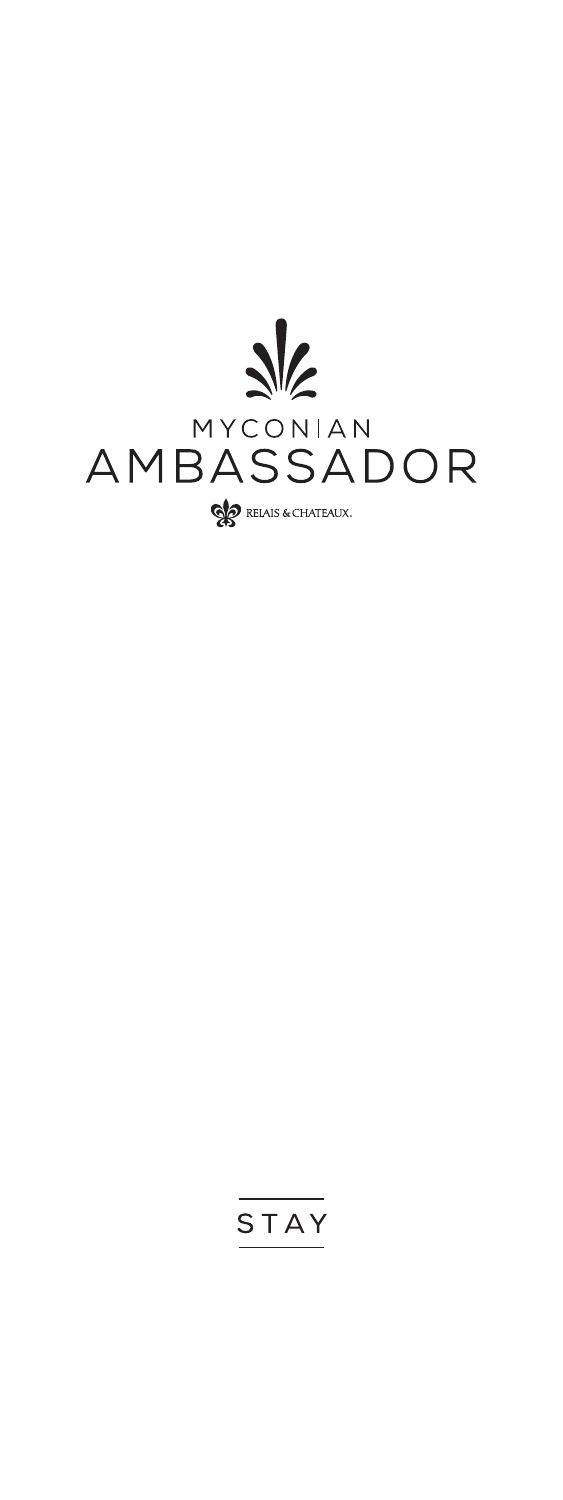

# STAY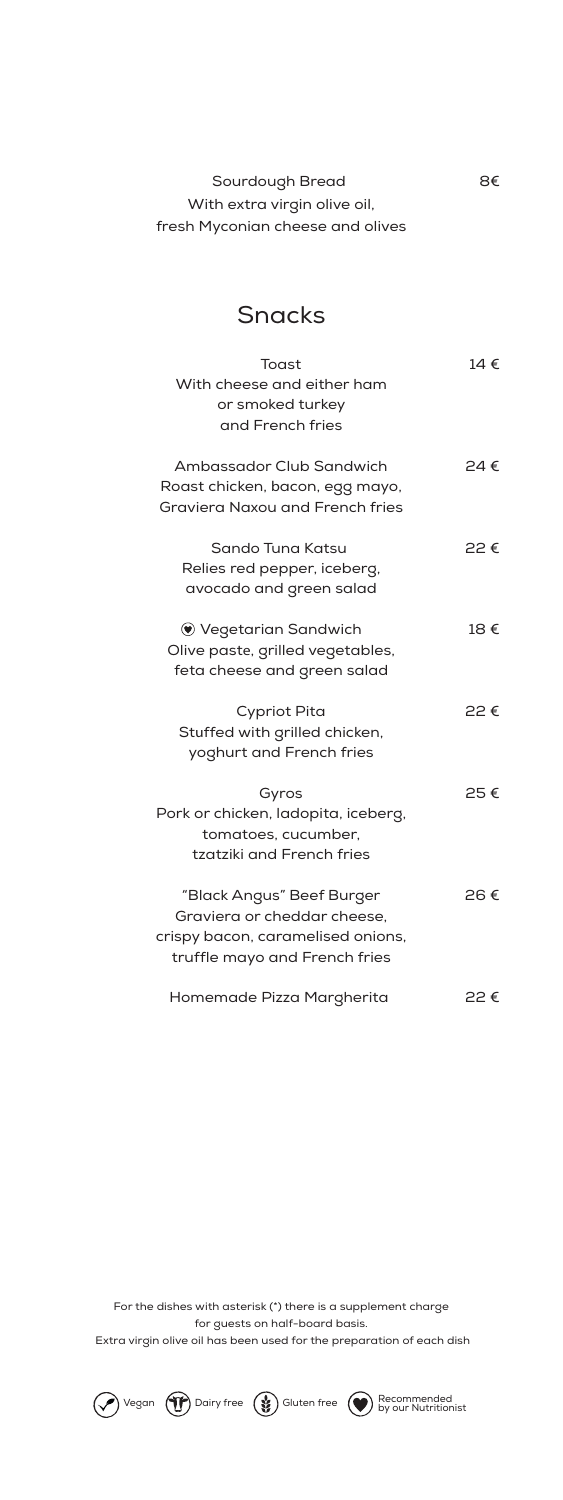| Sourdough Bread                  | 8€ |
|----------------------------------|----|
| With extra virgin olive oil,     |    |
| fresh Myconian cheese and olives |    |

## Snacks

| Toast<br>With cheese and either ham<br>or smoked turkey<br>and French fries                                                    | 14 € |
|--------------------------------------------------------------------------------------------------------------------------------|------|
| Ambassador Club Sandwich<br>Roast chicken, bacon, egg mayo,<br><b>Graviera Naxou and French fries</b>                          | 24 € |
| Sando Tuna Katsu<br>Relies red pepper, iceberg,<br>avocado and green salad                                                     | 22€  |
| $\bullet$ Vegetarian Sandwich<br>Olive paste, grilled vegetables,<br>feta cheese and green salad                               | 18€  |
| <b>Cypriot Pita</b><br>Stuffed with grilled chicken,<br>yoghurt and French fries                                               | 22€  |
| Gyros<br>Pork or chicken, ladopita, iceberg,<br>tomatoes, cucumber,<br>tzatziki and French fries                               | 25€  |
| "Black Angus" Beef Burger<br>Graviera or cheddar cheese,<br>crispy bacon, caramelised onions,<br>truffle mayo and French fries | 26€  |
| Homemade Pizza Margherita                                                                                                      | 52 € |

For the dishes with asterisk (\*) there is a supplement charge for guests on half-board basis. Extra virgin olive oil has been used for the preparation of each dish

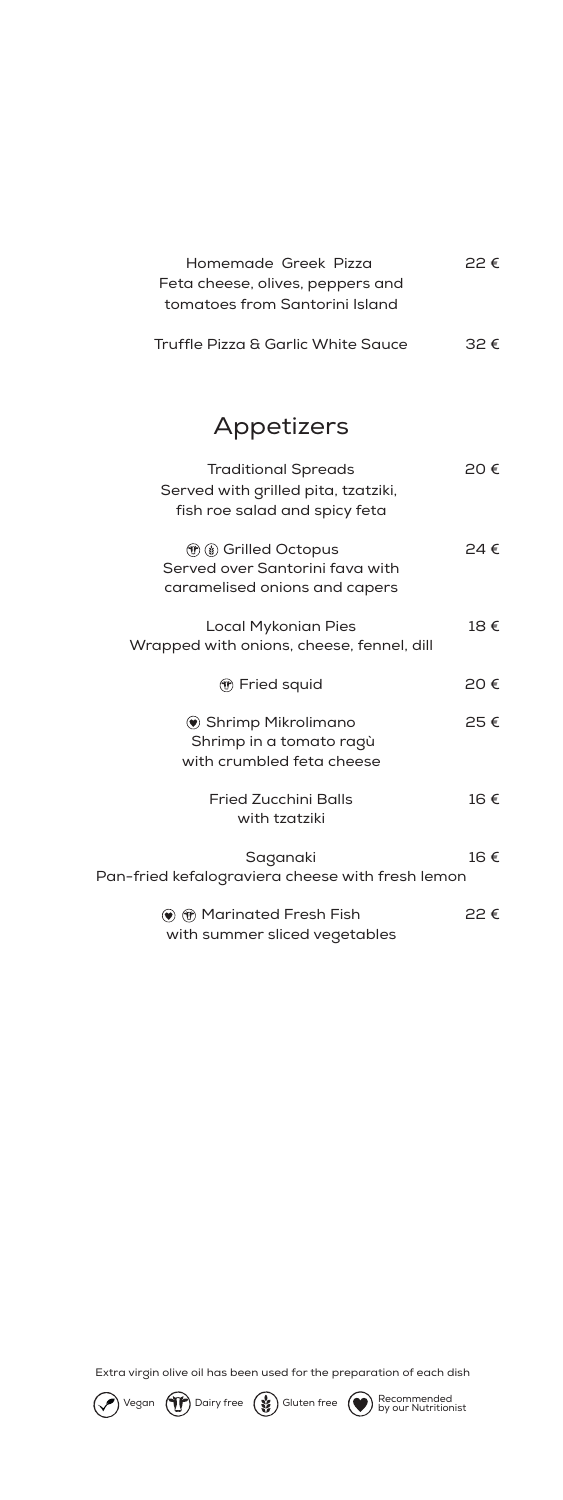| Homemade Greek Pizza               | $P P \in$     |
|------------------------------------|---------------|
| Feta cheese, olives, peppers and   |               |
| tomatoes from Santorini Island     |               |
| Truffle Pizza & Garlic White Sauce | $32 \epsilon$ |

## Appetizers

| <b>Traditional Spreads</b><br>Served with grilled pita, tzatziki,<br>fish roe salad and spicy feta        | 20€           |
|-----------------------------------------------------------------------------------------------------------|---------------|
| <b><i>(f)</i></b> (g) Grilled Octopus<br>Served over Santorini fava with<br>caramelised onions and capers | $24 \in$      |
| <b>Local Mykonian Pies</b><br>Wrapped with onions, cheese, fennel, dill                                   | 18€           |
| ᠭ Fried squid                                                                                             | 20€           |
| <b>● Shrimp Mikrolimano</b><br>Shrimp in a tomato ragù<br>with crumbled feta cheese                       | 25€           |
| <b>Fried Zucchini Balls</b><br>with tzatziki                                                              | 16€           |
| Saganaki<br>Pan-fried kefalograviera cheese with fresh lemon                                              | 16€           |
| $\circledast$ $\circledast$ Marinated Fresh Fish<br>with summer sliced vegetables                         | $22 \epsilon$ |

Extra virgin olive oil has been used for the preparation of each dish

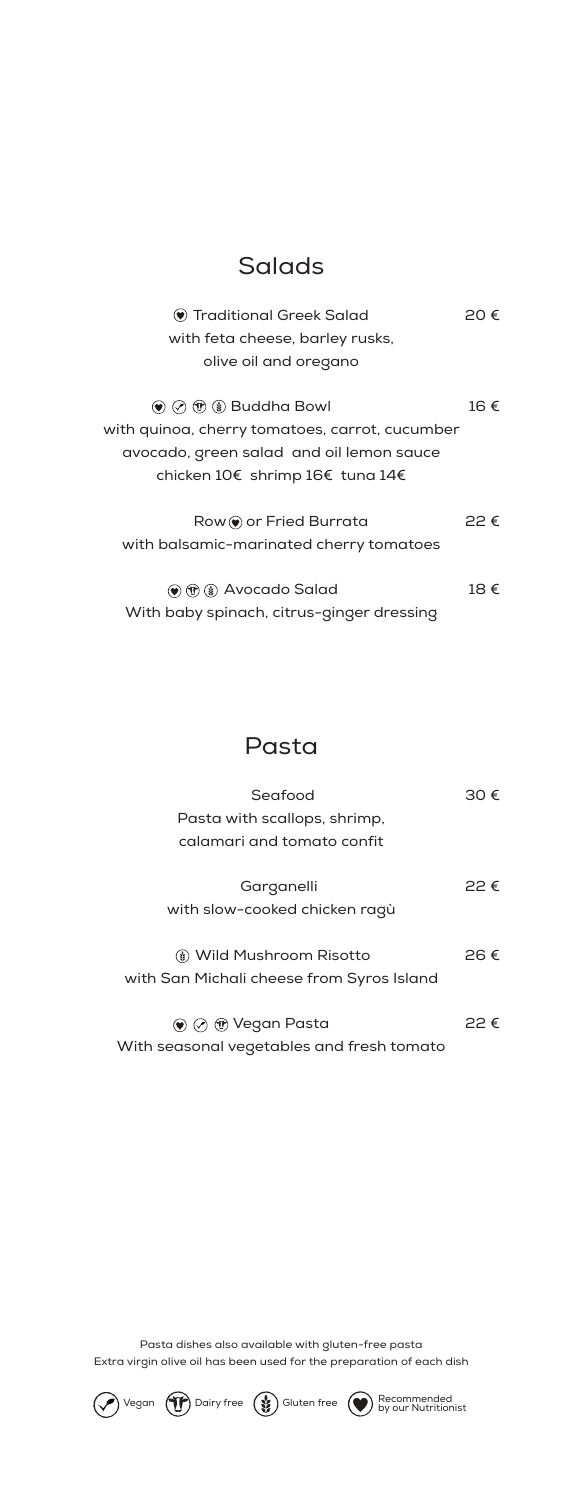#### Salads

| $\bullet$ Traditional Greek Salad                                                 | 20€           |
|-----------------------------------------------------------------------------------|---------------|
| with feta cheese, barley rusks,                                                   |               |
| olive oil and oregano                                                             |               |
| $\circledast$ $\circledast$ $\circledast$ $\circledast$ Buddha Bowl               | 16€           |
| with quinoa, cherry tomatoes, carrot, cucumber                                    |               |
| avocado, green salad and oil lemon sauce                                          |               |
| chicken 10€ shrimp 16€ tuna 14€                                                   |               |
| $Row($ or Fried Burrata                                                           | $22 \epsilon$ |
| with balsamic-marinated cherry tomatoes                                           |               |
| $\left(\bigcirc \right) \left(\mathcal{C}\right)$ ( $\mathcal{C}$ ) Avocado Salad | 18€           |
| With baby spinach, citrus-ginger dressing                                         |               |

#### Pasta

| Seafood                                   |               |
|-------------------------------------------|---------------|
| Pasta with scallops, shrimp,              |               |
| calamari and tomato confit                |               |
| Garganelli                                | $22 \epsilon$ |
| with slow-cooked chicken ragù             |               |
|                                           |               |
| (៖) Wild Mushroom Risotto                 | 26 €          |
| with San Michali cheese from Syros Island |               |
|                                           |               |
| ⊕ Vegan Pasta                             |               |

With seasonal vegetables and fresh tomato

Pasta dishes also available with gluten-free pasta Extra virgin olive oil has been used for the preparation of each dish

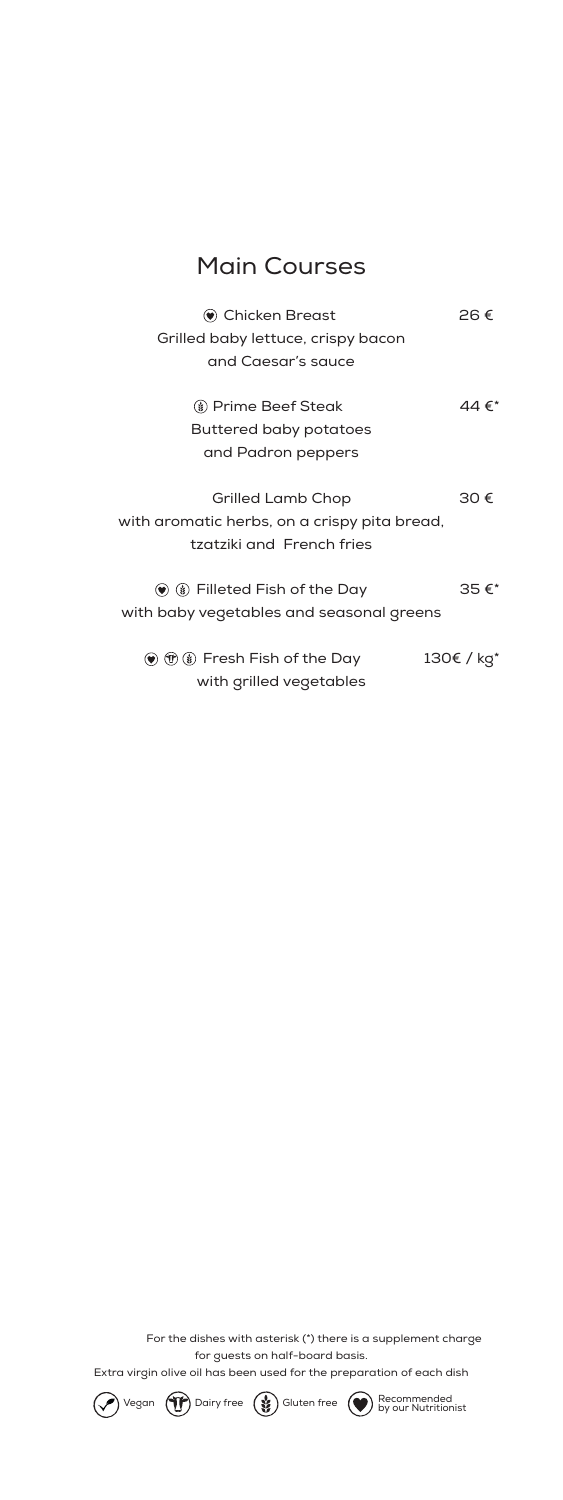## Main Courses

| Chicken Breast<br>Grilled baby lettuce, crispy bacon<br>and Caesar's sauce                            | 26€        |
|-------------------------------------------------------------------------------------------------------|------------|
| <b>(8) Prime Beef Steak</b><br><b>Buttered baby potatoes</b><br>and Padron peppers                    | 44 €*      |
| <b>Grilled Lamb Chop</b><br>with aromatic herbs, on a crispy pita bread,<br>tzatziki and French fries | 30€        |
| $\bullet$ $\bullet$ Filleted Fish of the Day<br>with baby vegetables and seasonal greens              | 35€*       |
| $\circledast$ $\circledast$ $\circledast$ Fresh Fish of the Day<br>with grilled vegetables            | 130€ / kg* |

 For the dishes with asterisk (\*) there is a supplement charge for guests on half-board basis.

Extra virgin olive oil has been used for the preparation of each dish

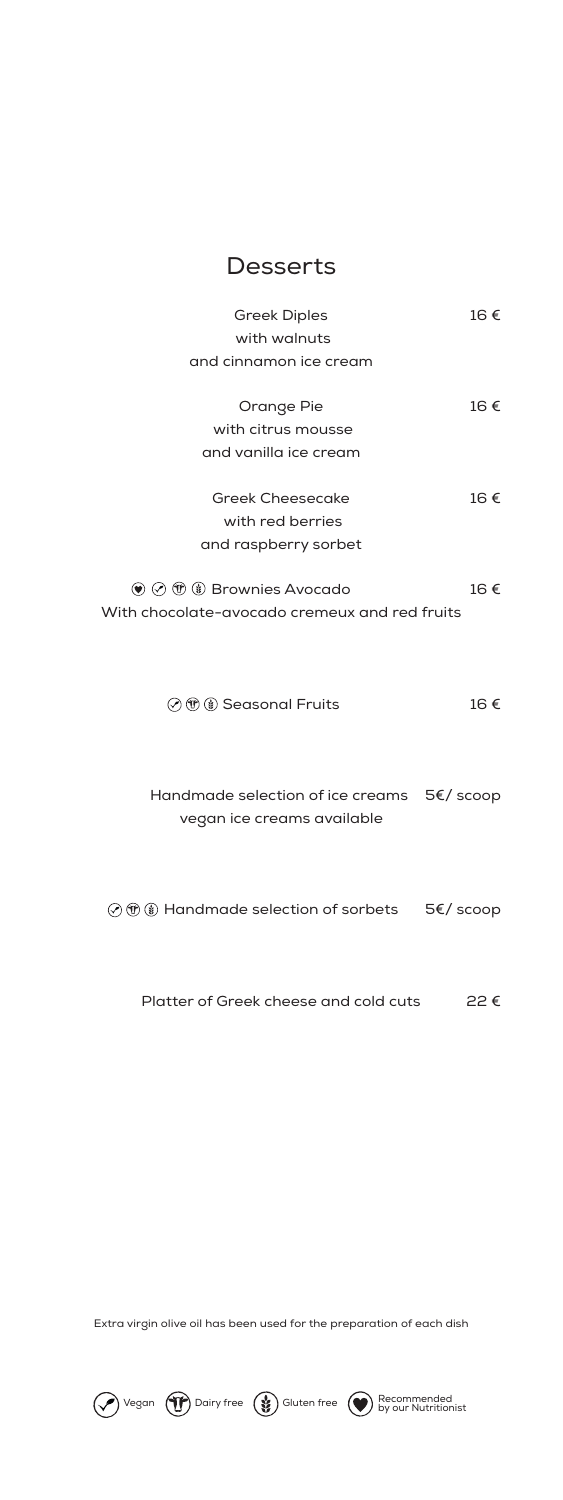#### **Desserts**

| <b>Greek Diples</b>                                            | 16€ |
|----------------------------------------------------------------|-----|
| with walnuts                                                   |     |
| and cinnamon ice cream                                         |     |
| Orange Pie                                                     | 16€ |
| with citrus mousse                                             |     |
| and vanilla ice cream                                          |     |
|                                                                |     |
| <b>Greek Cheesecake</b>                                        | 16€ |
| with red berries                                               |     |
| and raspberry sorbet                                           |     |
|                                                                |     |
| $\circledast \oslash \circledast \circledast$ Brownies Avocado | 16€ |
| With chocolate-avocado cremeux and red fruits                  |     |
|                                                                |     |
|                                                                |     |
|                                                                |     |
| ⊙ ® 8 Seasonal Fruits                                          | 16€ |
|                                                                |     |
|                                                                |     |
| Handmade selection of ice creams 5€/ scoop                     |     |
| vegan ice creams available                                     |     |
|                                                                |     |
|                                                                |     |
|                                                                |     |

Handmade selection of sorbets 5€/ scoop

Platter of Greek cheese and cold cuts 22 €

Extra virgin olive oil has been used for the preparation of each dish

Vegan Dairy free Gluten free Recommended by our Nutritionist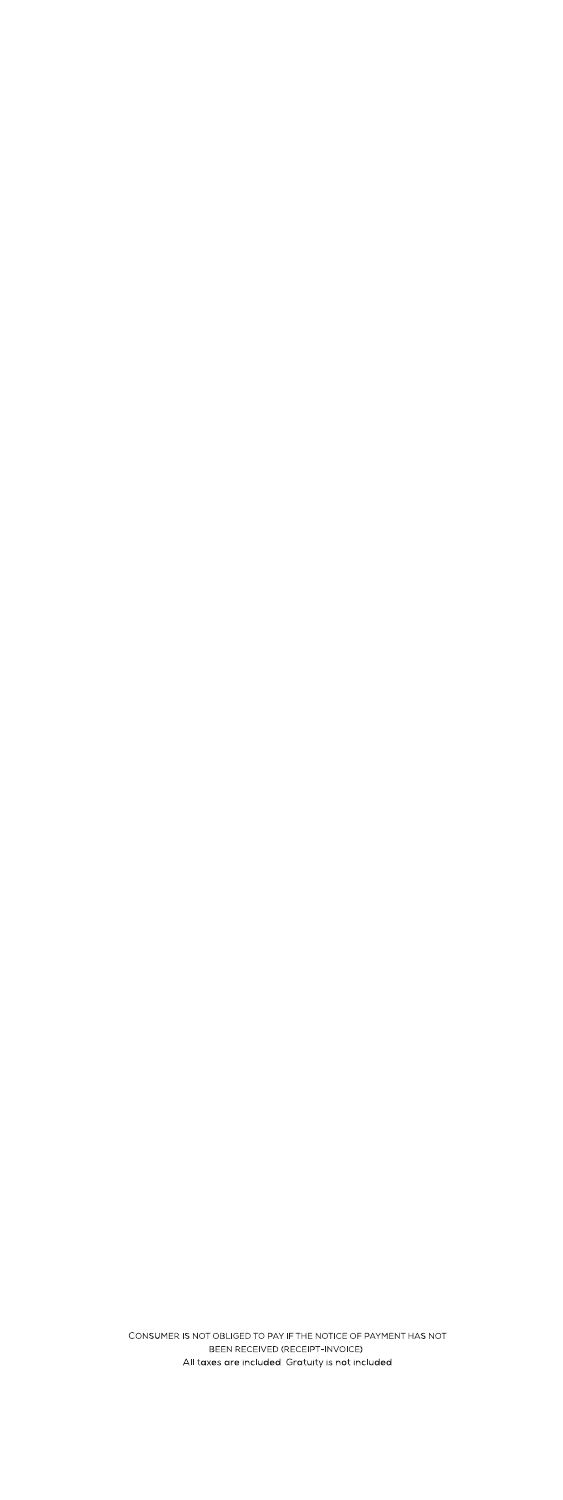CONSUMER IS NOT OBLIGED TO PAY IF THE NOTICE OF PAYMENT HAS NOT BEEN RECEIVED (RECEIPT-INVOICE) All taxes are included. Gratuity is not included